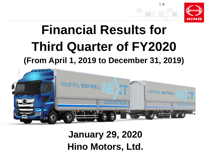

## **Financial Results for Third Quarter of FY2020 (From April 1, 2019 to December 31, 2019)**



**January 29, 2020 Hino Motors, Ltd.**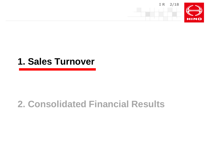



## **2. Consolidated Financial Results**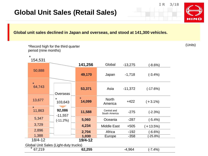#### **Global Unit Sales (Retail Sales)**

\*Record high for the third quarter

period (nine months)

#### **Global unit sales declined in Japan and overseas, and stood at 141,300 vehicles.**

Global Unit Sales (Light-duty trucks) 1,388 **49,170** 50,888 **1,030** 64,743 13,677 11,863 5,347 3,729 2,896 **53,371 14,099 11,588 5,060 4,234 2,704** 154,531 **141,256** Japan -1,718 Asia North America Central and South America Oceania Middle East Africa **Europe** -11,372 +422 -275 -287 +505 -192 -358 Global -13,275 (-3.4%) (-17.6%)  $(+3.1\%)$ (-2.3%) (-5.4%)  $(+13.5%)$ (-6.6%)  $( -25.8\%)$ (-8.6%) **Overseas** 103,643 **92,086**  -11,557 (-11.2%) 18/4-12 **19/4-12** \* \* \* \* \* \* 67,219 **62,255** -4,964 (-7.4%)

(Units)



**IR 3/18**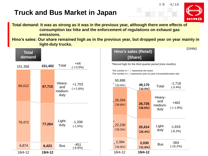#### **Truck and Bus Market in Japan**

**Total demand: It was as strong as it was in the previous year, although there were effects of consumption tax hike and the enforcement of regulations on exhaust gas emissions.**

**Hino's sales: Our share remained high as in the previous year, but dropped year on year mainly in light-duty trucks.** (Units)



#### **Hino's sales (Retail) [Share]**

\*Record high for the third quarter period (nine months)

The number in 〔 〕 represents the share The number in ( ) represents year-on-year increase/decrease rate

| 50,888                      |                   |                                  |                       |
|-----------------------------|-------------------|----------------------------------|-----------------------|
| *<br>(33.6%)                | 49,170<br>(32.5%) | Total                            | $-1,718$<br>$(-3.4%)$ |
| .26,264<br>$(39.8\%)$       | 26,726<br>(39.5%) | Heavy-<br>and<br>medium-<br>duty | +462<br>$(+1.8%)$     |
| $\ast$<br>22,230<br>(28.3%) | 20,414<br>[26.4%] | Light-<br>duty                   | $-1,816$<br>$(-8.2%)$ |
| 2,394<br>$(34.8\%)$         | 2,030<br>(31.6%)  | Bus                              | -364<br>$(-15.2%)$    |
| 18/4-12                     | 19/4-12           |                                  |                       |



**IR 4/18**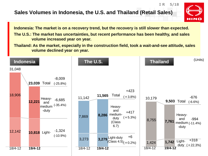#### **Sales Volumes in Indonesia, the U.S. and Thailand (Retail Sales)**



**IR 5/18**

**Indonesia: The market is on a recovery trend, but the recovery is still slower than expected.**

**The U.S.: The market has uncertainties, but recent performance has been healthy, and sales volume increased year on year.**

**Thailand: As the market, especially in the construction field, took a wait-and-see attitude, sales volume declined year on year.**

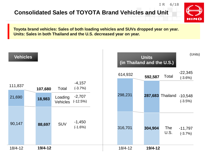#### **Consolidated Sales of TOYOTA Brand Vehicles and Unit**



**IR 6/18**

**Toyota brand vehicles: Sales of both loading vehicles and SUVs dropped year on year. Units: Sales in both Thailand and the U.S. decreased year on year.**

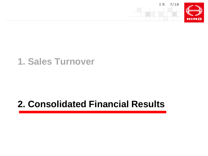

## **1. Sales Turnover**

## **2. Consolidated Financial Results**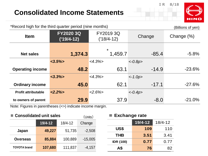#### **Consolidated Income Statements**

**IR 8/18**



| *Record high for the third quarter period (nine months)<br>(Billions of yen) |                         |                         |           |            |  |  |  |  |
|------------------------------------------------------------------------------|-------------------------|-------------------------|-----------|------------|--|--|--|--|
| <b>Item</b>                                                                  | FY2020 3Q<br>('19/4-12) | FY2019 3Q<br>('18/4-12) | Change    | Change (%) |  |  |  |  |
| <b>Net sales</b>                                                             | 1,374.3                 | $\star$<br>1,459.7      | $-85.4$   | $-5.8%$    |  |  |  |  |
|                                                                              | $<3.5\%$                | $<4.3\%>$               | $<-0.8p>$ |            |  |  |  |  |
| <b>Operating income</b>                                                      | 48.2                    | 63.1                    | $-14.9$   | $-23.6%$   |  |  |  |  |
|                                                                              | $<3.3\%>$               | $<4.3\%>$               | $<-1.0p>$ |            |  |  |  |  |
| <b>Ordinary income</b>                                                       | 45.0                    | 62.1                    | $-17.1$   | $-27.6\%$  |  |  |  |  |
| <b>Profit attributable</b>                                                   | $<2.2\%>$               | $<2.6\%>$               | $<-0.4p>$ |            |  |  |  |  |
| to owners of parent                                                          | 29.9                    | 37.9                    | $-8.0$    | $-21.0%$   |  |  |  |  |

Note: Figures in parentheses (<>) indicate income margin.

| ■ Consolidated unit sales |         | (Units)     | <b>Exchange rate</b> |                  |             |             |
|---------------------------|---------|-------------|----------------------|------------------|-------------|-------------|
|                           | 19/4-12 | $18/4 - 12$ | Change               |                  | $19/4 - 12$ | $18/4 - 12$ |
| Japan                     | 49,227  | 51,735      | $-2,508$             | US\$             | 109         | 110         |
|                           |         |             |                      | <b>THB</b>       | 3.51        | 3.41        |
| <b>Overseas</b>           | 85,884  | 100,889     | $-15,005$            | <b>IDR (100)</b> | 0.77        | 0.77        |
| <b>TOYOTA</b> brand       | 107,680 | 111,837     | $-4,157$             | Α\$              | 76          | 82          |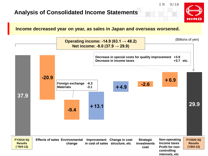#### **Analysis of Consolidated Income Statements**



**IR 9/18**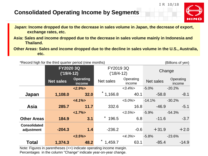#### **Consolidated Operating Income by Segments**



**IR 10/18**

**Japan: Income dropped due to the decrease in sales volume in Japan, the decrease of export, exchange rates, etc.**

**Asia: Sales and income dropped due to the decrease in sales volume mainly in Indonesia and Thailand.**

**Other Areas: Sales and income dropped due to the decline in sales volume in the U.S., Australia, etc.**

|                                   | *Record high for the third quarter period (nine months) |                            |                           |                     |                                         | (Billions of yen) |  |  |
|-----------------------------------|---------------------------------------------------------|----------------------------|---------------------------|---------------------|-----------------------------------------|-------------------|--|--|
|                                   | <b>FY20203Q</b><br>$(19/4 - 12)$                        |                            | FY2019 3Q<br>$('18/4-12)$ |                     | Change                                  |                   |  |  |
|                                   | <b>Net sales</b>                                        | <b>Operating</b><br>income | <b>Net sales</b>          | Operating<br>income | Operating<br><b>Net sales</b><br>income |                   |  |  |
|                                   |                                                         | $<2.9\frac{1}{2}$          |                           | $<3.4\%>$           | $-5.0%$                                 | $-20.2%$          |  |  |
| Japan                             | 1,108.0                                                 | 32.0                       | 1,166.8                   | 40.1                | $-58.8$                                 | $-8.1$            |  |  |
|                                   |                                                         | $<4.1\%>$                  |                           | $< 5.0\%$           | $-14.1%$<br>$-30.2%$                    |                   |  |  |
| <b>Asia</b>                       | 285.7                                                   | 11.7                       | 332.6                     | 16.8                | $-46.9$                                 | $-5.1$            |  |  |
|                                   |                                                         | $1.7\%$                    |                           | $<3.5\%$            | $-5.9%$<br>$-54.3%$                     |                   |  |  |
| <b>Other Areas</b>                | 184.9                                                   | 3.1                        | $\star$<br>196.5          | 6.8                 | $-11.6$                                 | $-3.7$            |  |  |
| <b>Consolidated</b><br>adjustment | $-204.3$                                                | 1.4                        | $-236.2$                  | $-0.6$              | $+31.9$                                 | $+2.0$            |  |  |
|                                   |                                                         | $<3.5\%$                   |                           | $<4.3\%>$           | $-5.8%$                                 | $-23.6%$          |  |  |
| <b>Total</b>                      | 1,374.3                                                 | 48.2                       | $\ast$<br>1,459.7         | 63.1                | $-85.4$                                 | $-14.9$           |  |  |

Note: Figures in parentheses (<>) indicate operating income margin.

Percentages in the column "Change" indicate year-on-year change.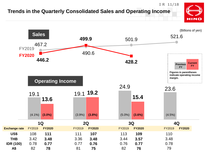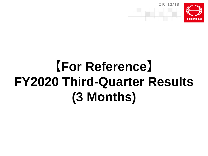

# **【For Reference】 FY2020 Third-Quarter Results (3 Months)**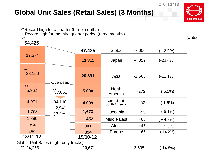### **Global Unit Sales (Retail Sales) (3 Months)**



**IR 13/18**

\*\*Record high for a quarter (three months)

54,425

\*Record high for the third quarter period (three months) \*\*

| $\star$        |                    | 47,425                 | Global                                | $-7,000$ | $(-12.9%)$  |
|----------------|--------------------|------------------------|---------------------------------------|----------|-------------|
| 17,374         |                    | 13,315                 | Japan                                 | $-4,059$ | $(-23.4%)$  |
| $**$<br>23,156 | Overseas           | 20,591                 | Asia                                  | $-2,565$ | $(-11.1\%)$ |
| 5,362          | $***$<br>37,051    | 5,090                  | <b>North</b><br>America               | $-272$   | $(-5.1\%)$  |
| 4,071          | 34,110             | 4,009                  | Central and<br>South America          | $-62$    | $(-1.5%)$   |
| 1,763          |                    | 1,673                  | Oceania                               | $-90$    | $(-5.1\%)$  |
| 1,386          |                    | 1,452                  | <b>Middle East</b>                    | $+66$    | $(+4.8%)$   |
| 854            |                    | 901                    | Africa                                | $+47$    | $(+5.5%)$   |
| 459            |                    | 394                    | Europe                                | $-65$    | $(-14.2%)$  |
| 18/10-12       |                    | 19/10-12               |                                       |          |             |
|                |                    |                        |                                       |          |             |
| 24,266         |                    | 20,671                 |                                       | $-3,595$ | $(-14.8%)$  |
|                | $\star\star$<br>** | $-2,941$<br>$(-7.9\%)$ | Global Unit Sales (Light-duty trucks) |          |             |

(Units)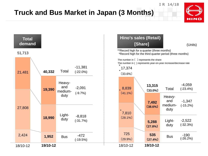#### **Truck and Bus Market in Japan (3 Months)**



**IR 14/18**

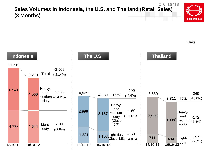#### **IR 15/18 Sales Volumes in Indonesia, the U.S. and Thailand (Retail Sales) (3 Months)**



(Units)

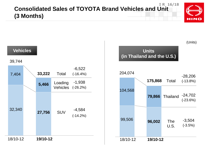#### **IR 16/18 Consolidated Sales of TOYOTA Brand Vehicles and Unit (3 Months)**



(Units)

**Vehicles Units (in Thailand and the U.S.)**



39,744

| 7,404    | 33,222   | Total                      | $-6,522$<br>$(-16.4%)$ |
|----------|----------|----------------------------|------------------------|
|          | 5,466    | Loading<br><b>Vehicles</b> | $-1,938$<br>$(-26.2%)$ |
| 32,340   | 27,756   | <b>SUV</b>                 | $-4,584$<br>$(-14.2%)$ |
| 18/10-12 | 19/10-12 |                            |                        |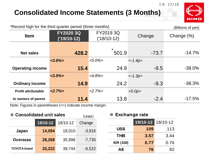#### **Consolidated Income Statements (3 Months)**



**IR 17/18**

| *Record high for the third quarter period (three months)<br>(Billions of yen) |                                  |                            |           |               |  |  |  |
|-------------------------------------------------------------------------------|----------------------------------|----------------------------|-----------|---------------|--|--|--|
| <b>Item</b>                                                                   | <b>FY20203Q</b><br>$('19/10-12)$ | FY2019 3Q<br>$('18/10-12)$ | Change    | Change $(\%)$ |  |  |  |
| <b>Net sales</b>                                                              | 428.2                            | $\star$<br>501.9           | $-73.7$   | $-14.7\%$     |  |  |  |
|                                                                               | $<3.6\%$                         | $< 5.0\% >$                | $<-1.4p>$ |               |  |  |  |
| <b>Operating income</b>                                                       | 15.4                             | 24.9                       | $-9.5$    | $-38.0\%$     |  |  |  |
|                                                                               | $<3.5\%>$                        | $<4.8\%>$                  | $<-1.3p>$ |               |  |  |  |
| <b>Ordinary income</b>                                                        | 14.9                             | 24.2                       | $-9.3$    | $-38.3%$      |  |  |  |
| <b>Profit attributable</b>                                                    | $<2.7\%>$                        | $2.7\%$                    | <0.0p>    |               |  |  |  |
| to owners of parent                                                           | 11.4                             | 13.8                       | $-2.4$    | $-17.5%$      |  |  |  |

Note: Figures in parentheses (<>) indicate income margin.

| ■ Consolidated unit sales |          |                    | (Units)  | <b>Exchange rate</b> |                   |      |
|---------------------------|----------|--------------------|----------|----------------------|-------------------|------|
|                           | 19/10-12 | 18/10-12           | Change   |                      | 19/10-12 18/10-12 |      |
| Japan                     | 14,094   | $-3,916$<br>18,010 | US\$     | 109                  | 113               |      |
|                           |          |                    |          | <b>THB</b>           | 3.57              | 3.44 |
| <b>Overseas</b>           | 28,268   | 35,998             | $-7,730$ | <b>IDR (100)</b>     | 0.77              | 0.76 |
| <b>TOYOTA</b> brand       | 33,222   | 39,744             | $-6,522$ | A\$                  | 76                | 82   |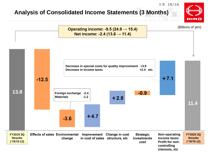#### **Analysis of Consolidated Income Statements (3 Months)**



**IR 18/18**

**interests, etc**

HINO